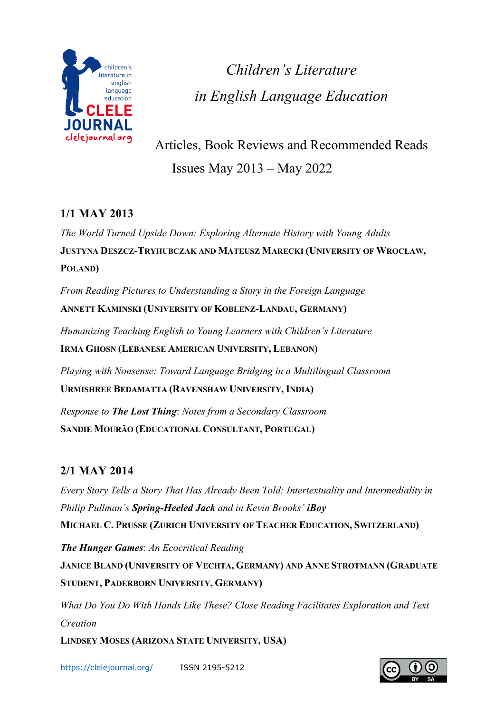

*Children's Literature in English Language Education*

Articles, Book Reviews and Recommended Reads Issues May 2013 – May 2022

# **1/1 MAY 2013**

*The World Turned Upside Down: Exploring Alternate History with Young Adults* **JUSTYNA DESZCZ-TRYHUBCZAK AND MATEUSZ MARECKI (UNIVERSITY OF WROCŁAW, POLAND)**

*From Reading Pictures to Understanding a Story in the Foreign Language* **ANNETT KAMINSKI (UNIVERSITY OF KOBLENZ-LANDAU, GERMANY)**

*Humanizing Teaching English to Young Learners with Children's Literature* **IRMA GHOSN (LEBANESE AMERICAN UNIVERSITY, LEBANON)**

*Playing with Nonsense: Toward Language Bridging in a Multilingual Classroom* **URMISHREE BEDAMATTA (RAVENSHAW UNIVERSITY, INDIA)**

*Response to The Lost Thing*: *Notes from a Secondary Classroom* **SANDIE MOURÃO (EDUCATIONAL CONSULTANT, PORTUGAL)**

# **2/1 MAY 2014**

*Every Story Tells a Story That Has Already Been Told: Intertextuality and Intermediality in Philip Pullman's Spring-Heeled Jack and in Kevin Brooks' iBoy* **MICHAEL C. PRUSSE (ZURICH UNIVERSITY OF TEACHER EDUCATION, SWITZERLAND)**

*The Hunger Games*: *An Ecocritical Reading* **JANICE BLAND (UNIVERSITY OF VECHTA, GERMANY) AND ANNE STROTMANN (GRADUATE STUDENT, PADERBORN UNIVERSITY, GERMANY)**

*What Do You Do With Hands Like These? Close Reading Facilitates Exploration and Text Creation*

**LINDSEY MOSES (ARIZONA STATE UNIVERSITY, USA)**

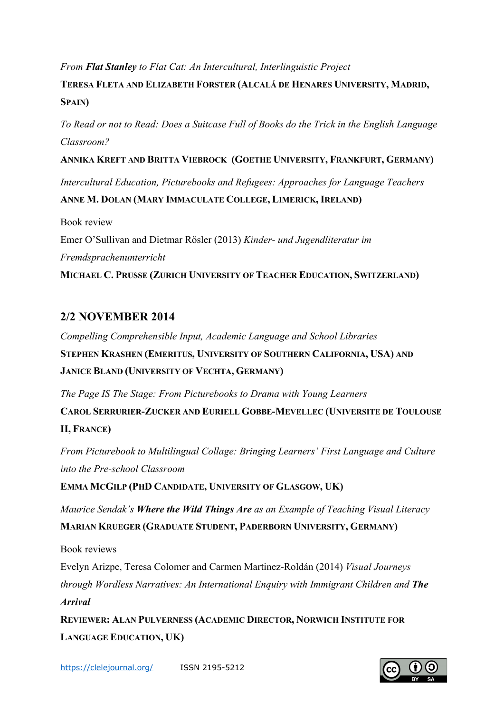#### *From Flat Stanley to Flat Cat: An Intercultural, Interlinguistic Project*

# **TERESA FLETA AND ELIZABETH FORSTER (ALCALÁ DE HENARES UNIVERSITY, MADRID, SPAIN)**

*To Read or not to Read: Does a Suitcase Full of Books do the Trick in the English Language Classroom?*

#### **ANNIKA KREFT AND BRITTA VIEBROCK (GOETHE UNIVERSITY, FRANKFURT, GERMANY)**

*Intercultural Education, Picturebooks and Refugees: Approaches for Language Teachers*

### **ANNE M. DOLAN (MARY IMMACULATE COLLEGE, LIMERICK, IRELAND)**

Book review Emer O'Sullivan and Dietmar Rösler (2013) *Kinder- und Jugendliteratur im Fremdsprachenunterricht* **MICHAEL C. PRUSSE (ZURICH UNIVERSITY OF TEACHER EDUCATION, SWITZERLAND)**

## **2/2 NOVEMBER 2014**

*Compelling Comprehensible Input, Academic Language and School Libraries* **STEPHEN KRASHEN (EMERITUS, UNIVERSITY OF SOUTHERN CALIFORNIA, USA) AND JANICE BLAND (UNIVERSITY OF VECHTA, GERMANY)**

*The Page IS The Stage: From Picturebooks to Drama with Young Learners*

**CAROL SERRURIER-ZUCKER AND EURIELL GOBBE-MEVELLEC (UNIVERSITE DE TOULOUSE II, FRANCE)**

*From Picturebook to Multilingual Collage: Bringing Learners' First Language and Culture into the Pre-school Classroom*

**EMMA MCGILP (PHD CANDIDATE, UNIVERSITY OF GLASGOW, UK)**

*Maurice Sendak's Where the Wild Things Are as an Example of Teaching Visual Literacy* **MARIAN KRUEGER (GRADUATE STUDENT, PADERBORN UNIVERSITY, GERMANY)**

Book reviews

Evelyn Arizpe, Teresa Colomer and Carmen Martinez-Roldán (2014) *Visual Journeys through Wordless Narratives: An International Enquiry with Immigrant Children and The Arrival*

**REVIEWER: ALAN PULVERNESS (ACADEMIC DIRECTOR, NORWICH INSTITUTE FOR LANGUAGE EDUCATION, UK)**

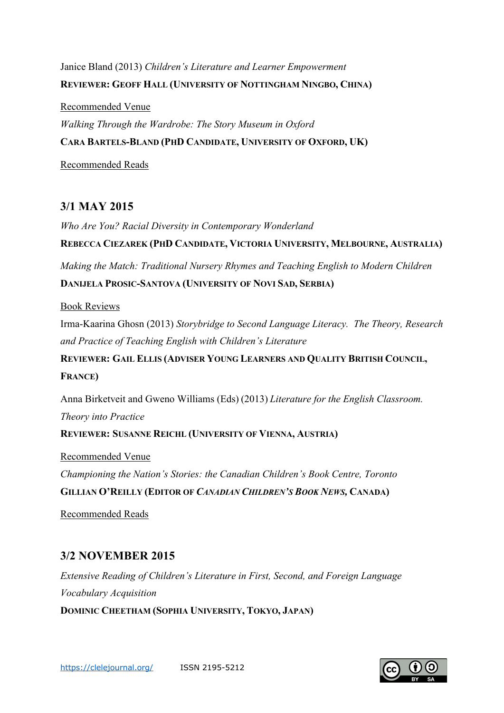Janice Bland (2013) *Children's Literature and Learner Empowerment* **REVIEWER: GEOFF HALL (UNIVERSITY OF NOTTINGHAM NINGBO, CHINA)**

Recommended Venue *Walking Through the Wardrobe: The Story Museum in Oxford* **CARA BARTELS-BLAND (PHD CANDIDATE, UNIVERSITY OF OXFORD, UK)**

Recommended Reads

## **3/1 MAY 2015**

*Who Are You? Racial Diversity in Contemporary Wonderland* **REBECCA CIEZAREK (PHD CANDIDATE, VICTORIA UNIVERSITY, MELBOURNE, AUSTRALIA)** *Making the Match: Traditional Nursery Rhymes and Teaching English to Modern Children*

**DANIJELA PROSIC-SANTOVA (UNIVERSITY OF NOVI SAD, SERBIA)**

#### Book Reviews

Irma-Kaarina Ghosn (2013) *Storybridge to Second Language Literacy. The Theory, Research and Practice of Teaching English with Children's Literature*

**REVIEWER: GAIL ELLIS (ADVISER YOUNG LEARNERS AND QUALITY BRITISH COUNCIL, FRANCE)**

Anna Birketveit and Gweno Williams (Eds) (2013) *Literature for the English Classroom. Theory into Practice*

### **REVIEWER: SUSANNE REICHL (UNIVERSITY OF VIENNA, AUSTRIA)**

Recommended Venue

*Championing the Nation's Stories: the Canadian Children's Book Centre, Toronto* **GILLIAN O'REILLY (EDITOR OF** *CANADIAN CHILDREN'S BOOK NEWS,* **CANADA)**

Recommended Reads

## **3/2 NOVEMBER 2015**

*Extensive Reading of Children's Literature in First, Second, and Foreign Language Vocabulary Acquisition* **DOMINIC CHEETHAM (SOPHIA UNIVERSITY, TOKYO, JAPAN)**

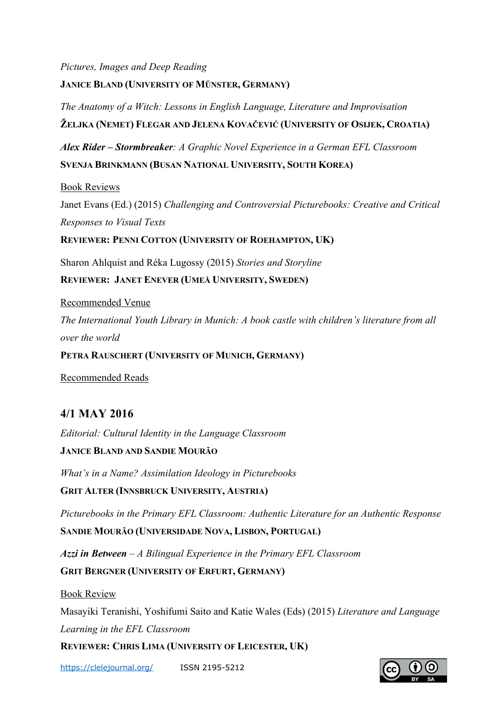*Pictures, Images and Deep Reading* **JANICE BLAND (UNIVERSITY OF MÜNSTER, GERMANY)**

*The Anatomy of a Witch: Lessons in English Language, Literature and Improvisation* **ŽELJKA (NEMET) FLEGAR AND JELENA KOVAČEVIĆ (UNIVERSITY OF OSIJEK, CROATIA)**

*Alex Rider – Stormbreaker: A Graphic Novel Experience in a German EFL Classroom* **SVENJA BRINKMANN (BUSAN NATIONAL UNIVERSITY, SOUTH KOREA)**

Book Reviews

Janet Evans (Ed.) (2015) *Challenging and Controversial Picturebooks: Creative and Critical Responses to Visual Texts*

**REVIEWER: PENNI COTTON (UNIVERSITY OF ROEHAMPTON, UK)**

Sharon Ahlquist and Réka Lugossy (2015) *Stories and Storyline* **REVIEWER: JANET ENEVER (UMEÅ UNIVERSITY, SWEDEN)**

Recommended Venue

*The International Youth Library in Munich: A book castle with children's literature from all over the world*

**PETRA RAUSCHERT (UNIVERSITY OF MUNICH, GERMANY)**

Recommended Reads

## **4/1 MAY 2016**

*Editorial: Cultural Identity in the Language Classroom*

### **JANICE BLAND AND SANDIE MOURÃO**

*What's in a Name? Assimilation Ideology in Picturebooks*  **GRIT ALTER (INNSBRUCK UNIVERSITY, AUSTRIA)**

*Picturebooks in the Primary EFL Classroom: Authentic Literature for an Authentic Response*

**SANDIE MOURÃO (UNIVERSIDADE NOVA, LISBON, PORTUGAL)**

*Azzi in Between – A Bilingual Experience in the Primary EFL Classroom* **GRIT BERGNER (UNIVERSITY OF ERFURT, GERMANY)**

Book Review

Masayiki Teranishi, Yoshifumi Saito and Katie Wales (Eds) (2015) *Literature and Language Learning in the EFL Classroom*

**REVIEWER: CHRIS LIMA (UNIVERSITY OF LEICESTER, UK)**

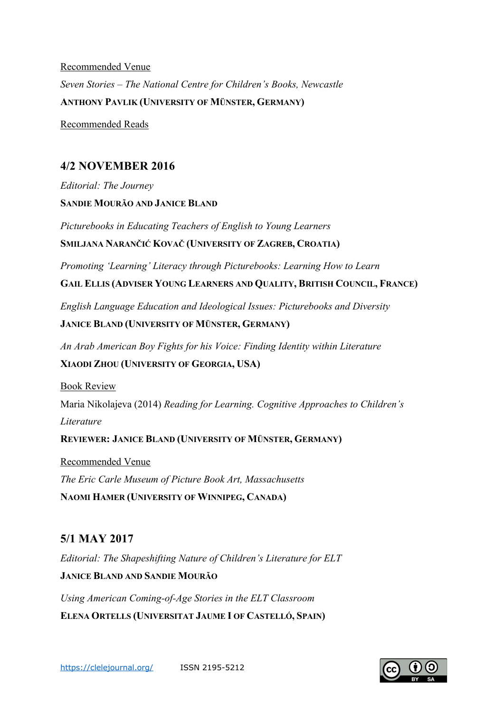Recommended Venue *Seven Stories – The National Centre for Children's Books, Newcastle* **ANTHONY PAVLIK (UNIVERSITY OF MÜNSTER, GERMANY)**

Recommended Reads

## **4/2 NOVEMBER 2016**

*Editorial: The Journey* **SANDIE MOURÃO AND JANICE BLAND**

*Picturebooks in Educating Teachers of English to Young Learners*  **SMILJANA NARANČIĆ KOVAČ (UNIVERSITY OF ZAGREB, CROATIA)**

*Promoting 'Learning' Literacy through Picturebooks: Learning How to Learn*

**GAIL ELLIS (ADVISER YOUNG LEARNERS AND QUALITY, BRITISH COUNCIL, FRANCE)**

*English Language Education and Ideological Issues: Picturebooks and Diversity*

**JANICE BLAND (UNIVERSITY OF MÜNSTER, GERMANY)**

*An Arab American Boy Fights for his Voice: Finding Identity within Literature* **XIAODI ZHOU (UNIVERSITY OF GEORGIA, USA)**

Book Review

Maria Nikolajeva (2014) *Reading for Learning. Cognitive Approaches to Children's Literature*

**REVIEWER: JANICE BLAND (UNIVERSITY OF MÜNSTER, GERMANY)**

Recommended Venue *The Eric Carle Museum of Picture Book Art, Massachusetts* **NAOMI HAMER (UNIVERSITY OF WINNIPEG, CANADA)**

### **5/1 MAY 2017**

*Editorial: The Shapeshifting Nature of Children's Literature for ELT* **JANICE BLAND AND SANDIE MOURÃO**

*Using American Coming-of-Age Stories in the ELT Classroom* **ELENA ORTELLS (UNIVERSITAT JAUME I OF CASTELLÓ, SPAIN)**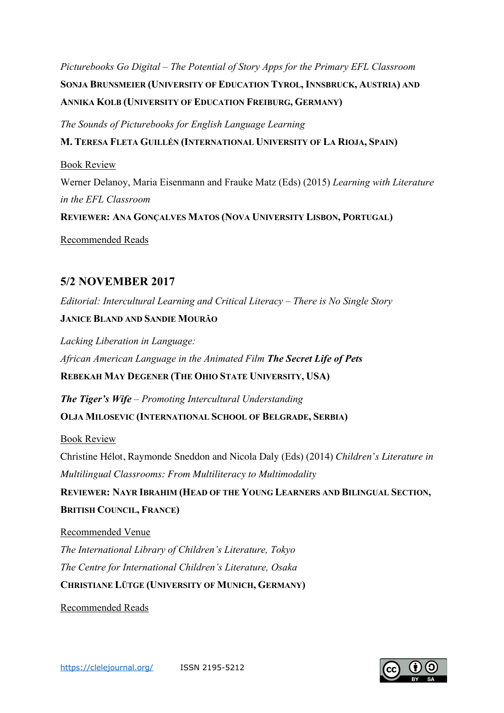*Picturebooks Go Digital – The Potential of Story Apps for the Primary EFL Classroom* **SONJA BRUNSMEIER (UNIVERSITY OF EDUCATION TYROL, INNSBRUCK, AUSTRIA) AND ANNIKA KOLB (UNIVERSITY OF EDUCATION FREIBURG, GERMANY)**

*The Sounds of Picturebooks for English Language Learning*

**M. TERESA FLETA GUILLÉN (INTERNATIONAL UNIVERSITY OF LA RIOJA, SPAIN)**

Book Review

Werner Delanoy, Maria Eisenmann and Frauke Matz (Eds) (2015) *Learning with Literature in the EFL Classroom*

**REVIEWER: ANA GONÇALVES MATOS (NOVA UNIVERSITY LISBON, PORTUGAL)**

Recommended Reads

### **5/2 NOVEMBER 2017**

*Editorial: Intercultural Learning and Critical Literacy – There is No Single Story*

#### **JANICE BLAND AND SANDIE MOURÃO**

*Lacking Liberation in Language: African American Language in the Animated Film The Secret Life of Pets* **REBEKAH MAY DEGENER (THE OHIO STATE UNIVERSITY, USA)**

*The Tiger's Wife – Promoting Intercultural Understanding* **OLJA MILOSEVIC (INTERNATIONAL SCHOOL OF BELGRADE, SERBIA)**

Book Review

Christine Hélot, Raymonde Sneddon and Nicola Daly (Eds) (2014) *Children's Literature in Multilingual Classrooms: From Multiliteracy to Multimodality* 

**REVIEWER: NAYR IBRAHIM (HEAD OF THE YOUNG LEARNERS AND BILINGUAL SECTION, BRITISH COUNCIL, FRANCE)**

Recommended Venue *The International Library of Children's Literature, Tokyo The Centre for International Children's Literature, Osaka* **CHRISTIANE LÜTGE (UNIVERSITY OF MUNICH, GERMANY)**

Recommended Reads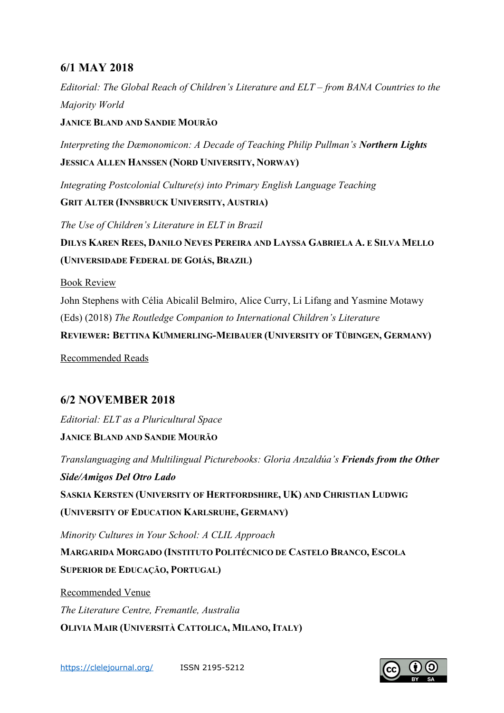## **6/1 MAY 2018**

*Editorial: The Global Reach of Children's Literature and ELT – from BANA Countries to the Majority World*

**JANICE BLAND AND SANDIE MOURÃO**

*Interpreting the Dæmonomicon: A Decade of Teaching Philip Pullman's Northern Lights* **JESSICA ALLEN HANSSEN (NORD UNIVERSITY, NORWAY)**

*Integrating Postcolonial Culture(s) into Primary English Language Teaching* **GRIT ALTER (INNSBRUCK UNIVERSITY, AUSTRIA)**

*The Use of Children's Literature in ELT in Brazil* **DILYS KAREN REES, DANILO NEVES PEREIRA AND LAYSSA GABRIELA A. E SILVA MELLO (UNIVERSIDADE FEDERAL DE GOIÁS, BRAZIL)**

Book Review

John Stephens with Célia Abicalil Belmiro, Alice Curry, Li Lifang and Yasmine Motawy (Eds) (2018) *The Routledge Companion to International Children's Literature* **REVIEWER: BETTINA KÜMMERLING-MEIBAUER (UNIVERSITY OF TÜBINGEN, GERMANY)**

Recommended Reads

## **6/2 NOVEMBER 2018**

*Editorial: ELT as a Pluricultural Space*

**JANICE BLAND AND SANDIE MOURÃO**

*Translanguaging and Multilingual Picturebooks: Gloria Anzaldúa's Friends from the Other Side/Amigos Del Otro Lado* **SASKIA KERSTEN (UNIVERSITY OF HERTFORDSHIRE, UK) AND CHRISTIAN LUDWIG**

**(UNIVERSITY OF EDUCATION KARLSRUHE, GERMANY)**

*Minority Cultures in Your School: A CLIL Approach* **MARGARIDA MORGADO (INSTITUTO POLITÉCNICO DE CASTELO BRANCO, ESCOLA SUPERIOR DE EDUCAÇÃO, PORTUGAL)**

Recommended Venue *The Literature Centre, Fremantle, Australia* **OLIVIA MAIR (UNIVERSITÀ CATTOLICA, MILANO, ITALY)**

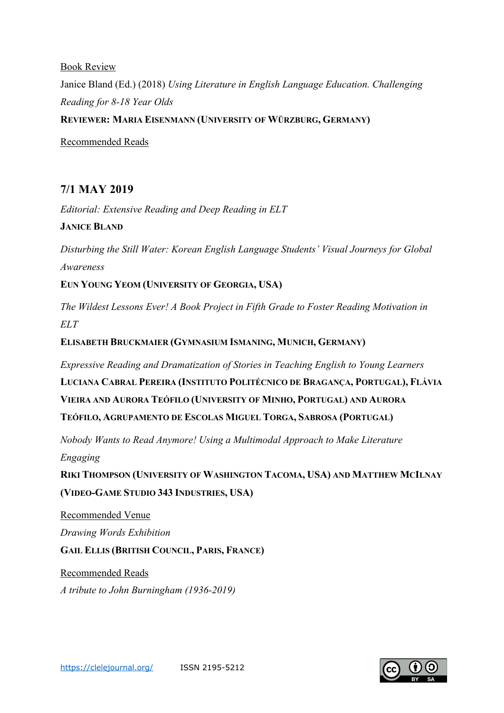#### Book Review

Janice Bland (Ed.) (2018) *Using Literature in English Language Education. Challenging Reading for 8-18 Year Olds* **REVIEWER: MARIA EISENMANN (UNIVERSITY OF WÜRZBURG, GERMANY)**

Recommended Reads

### **7/1 MAY 2019**

*Editorial: Extensive Reading and Deep Reading in ELT*

**JANICE BLAND**

*Disturbing the Still Water: Korean English Language Students' Visual Journeys for Global Awareness*

**EUN YOUNG YEOM (UNIVERSITY OF GEORGIA, USA)**

*The Wildest Lessons Ever! A Book Project in Fifth Grade to Foster Reading Motivation in ELT*

**ELISABETH BRUCKMAIER (GYMNASIUM ISMANING, MUNICH, GERMANY)**

*Expressive Reading and Dramatization of Stories in Teaching English to Young Learners*

**LUCIANA CABRAL PEREIRA (INSTITUTO POLITÉCNICO DE BRAGANÇA, PORTUGAL), FLÁVIA VIEIRA AND AURORA TEÓFILO (UNIVERSITY OF MINHO, PORTUGAL) AND AURORA TEÓFILO, AGRUPAMENTO DE ESCOLAS MIGUEL TORGA, SABROSA (PORTUGAL)**

*Nobody Wants to Read Anymore! Using a Multimodal Approach to Make Literature Engaging*

**RIKI THOMPSON (UNIVERSITY OF WASHINGTON TACOMA, USA) AND MATTHEW MCILNAY (VIDEO-GAME STUDIO 343 INDUSTRIES, USA)**

Recommended Venue

*Drawing Words Exhibition*

**GAIL ELLIS (BRITISH COUNCIL, PARIS, FRANCE)**

Recommended Reads

*A tribute to John Burningham (1936-2019)*

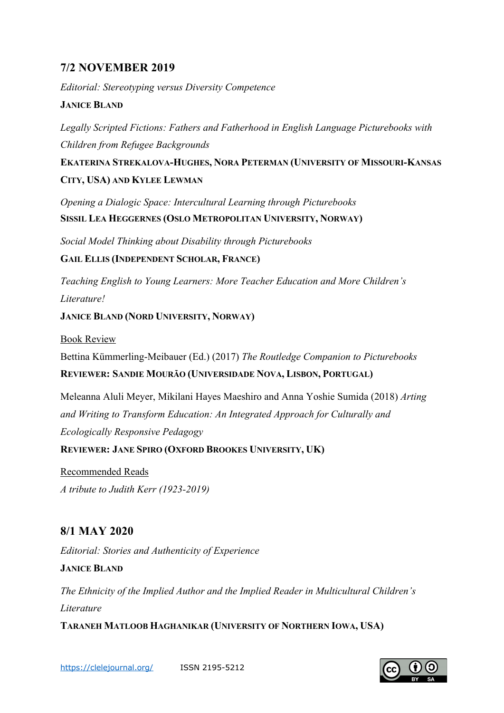## **7/2 NOVEMBER 2019**

*Editorial: Stereotyping versus Diversity Competence*

#### **JANICE BLAND**

*Legally Scripted Fictions: Fathers and Fatherhood in English Language Picturebooks with Children from Refugee Backgrounds*

**EKATERINA STREKALOVA-HUGHES, NORA PETERMAN (UNIVERSITY OF MISSOURI-KANSAS CITY, USA) AND KYLEE LEWMAN**

*Opening a Dialogic Space: Intercultural Learning through Picturebooks* **SISSIL LEA HEGGERNES (OSLO METROPOLITAN UNIVERSITY, NORWAY)**

*Social Model Thinking about Disability through Picturebooks*

**GAIL ELLIS (INDEPENDENT SCHOLAR, FRANCE)**

*Teaching English to Young Learners: More Teacher Education and More Children's Literature!*

**JANICE BLAND (NORD UNIVERSITY, NORWAY)**

Book Review

Bettina Kümmerling-Meibauer (Ed.) (2017) *The Routledge Companion to Picturebooks* **REVIEWER: SANDIE MOURÃO (UNIVERSIDADE NOVA, LISBON, PORTUGAL)**

Meleanna Aluli Meyer, Mikilani Hayes Maeshiro and Anna Yoshie Sumida (2018) *Arting and Writing to Transform Education: An Integrated Approach for Culturally and Ecologically Responsive Pedagogy*

**REVIEWER: JANE SPIRO (OXFORD BROOKES UNIVERSITY, UK)**

Recommended Reads *A tribute to Judith Kerr (1923-2019)*

## **8/1 MAY 2020**

*Editorial: Stories and Authenticity of Experience*

**JANICE BLAND**

*The Ethnicity of the Implied Author and the Implied Reader in Multicultural Children's Literature*

**TARANEH MATLOOB HAGHANIKAR (UNIVERSITY OF NORTHERN IOWA, USA)**

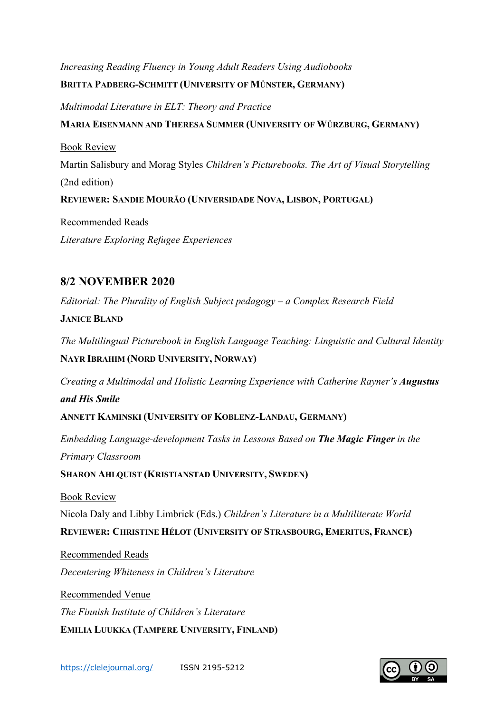# *Increasing Reading Fluency in Young Adult Readers Using Audiobooks*

#### **BRITTA PADBERG-SCHMITT (UNIVERSITY OF MÜNSTER, GERMANY)**

*Multimodal Literature in ELT: Theory and Practice*

### **MARIA EISENMANN AND THERESA SUMMER (UNIVERSITY OF WÜRZBURG, GERMANY)**

Book Review Martin Salisbury and Morag Styles *Children's Picturebooks. The Art of Visual Storytelling* (2nd edition)

**REVIEWER: SANDIE MOURÃO (UNIVERSIDADE NOVA, LISBON, PORTUGAL)**

Recommended Reads *Literature Exploring Refugee Experiences*

## **8/2 NOVEMBER 2020**

*Editorial: The Plurality of English Subject pedagogy – a Complex Research Field*

**JANICE BLAND**

*The Multilingual Picturebook in English Language Teaching: Linguistic and Cultural Identity* **NAYR IBRAHIM (NORD UNIVERSITY, NORWAY)**

*Creating a Multimodal and Holistic Learning Experience with Catherine Rayner's Augustus and His Smile*

**ANNETT KAMINSKI (UNIVERSITY OF KOBLENZ-LANDAU, GERMANY)**

*Embedding Language-development Tasks in Lessons Based on The Magic Finger in the Primary Classroom*

**SHARON AHLQUIST (KRISTIANSTAD UNIVERSITY, SWEDEN)**

Book Review

Nicola Daly and Libby Limbrick (Eds.) *Children's Literature in a Multiliterate World*

**REVIEWER: CHRISTINE HÉLOT (UNIVERSITY OF STRASBOURG, EMERITUS, FRANCE)**

Recommended Reads *Decentering Whiteness in Children's Literature*

Recommended Venue *The Finnish Institute of Children's Literature* **EMILIA LUUKKA (TAMPERE UNIVERSITY, FINLAND)**

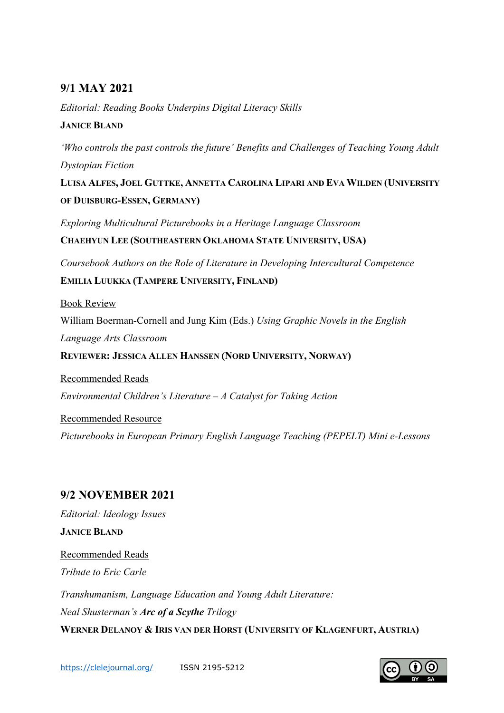## **9/1 MAY 2021**

*Editorial: Reading Books Underpins Digital Literacy Skills*  **JANICE BLAND**

*'Who controls the past controls the future' Benefits and Challenges of Teaching Young Adult Dystopian Fiction*

**LUISA ALFES, JOEL GUTTKE, ANNETTA CAROLINA LIPARI AND EVA WILDEN (UNIVERSITY OF DUISBURG-ESSEN, GERMANY)**

*Exploring Multicultural Picturebooks in a Heritage Language Classroom* **CHAEHYUN LEE (SOUTHEASTERN OKLAHOMA STATE UNIVERSITY, USA)**

*Coursebook Authors on the Role of Literature in Developing Intercultural Competence* **EMILIA LUUKKA (TAMPERE UNIVERSITY, FINLAND)**

Book Review William Boerman-Cornell and Jung Kim (Eds.) *Using Graphic Novels in the English Language Arts Classroom* **REVIEWER: JESSICA ALLEN HANSSEN (NORD UNIVERSITY, NORWAY)**

Recommended Reads *Environmental Children's Literature – A Catalyst for Taking Action*

Recommended Resource *Picturebooks in European Primary English Language Teaching (PEPELT) Mini e-Lessons*

## **9/2 NOVEMBER 2021**

*Editorial: Ideology Issues* **JANICE BLAND** Recommended Reads *Tribute to Eric Carle Transhumanism, Language Education and Young Adult Literature: Neal Shusterman's Arc of a Scythe Trilogy* **WERNER DELANOY & IRIS VAN DER HORST (UNIVERSITY OF KLAGENFURT, AUSTRIA)**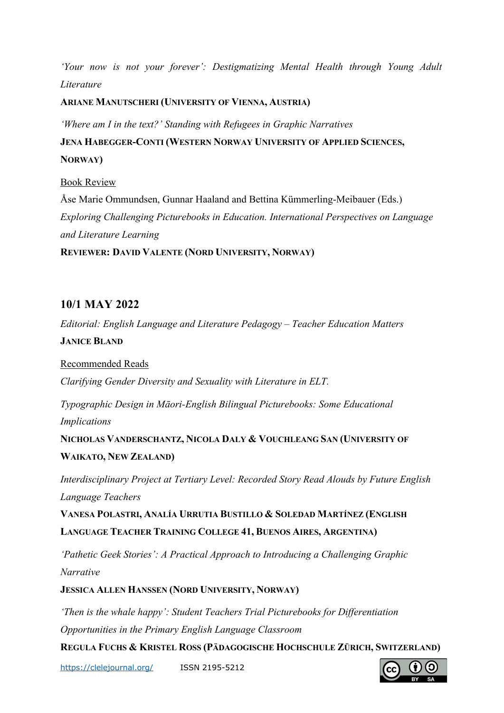*'Your now is not your forever': Destigmatizing Mental Health through Young Adult Literature*

**ARIANE MANUTSCHERI (UNIVERSITY OF VIENNA, AUSTRIA)**

*'Where am I in the text?' Standing with Refugees in Graphic Narratives*

**JENA HABEGGER-CONTI (WESTERN NORWAY UNIVERSITY OF APPLIED SCIENCES, NORWAY)**

Book Review Åse Marie Ommundsen, Gunnar Haaland and Bettina Kümmerling-Meibauer (Eds.) *Exploring Challenging Picturebooks in Education. International Perspectives on Language and Literature Learning* **REVIEWER: DAVID VALENTE (NORD UNIVERSITY, NORWAY)**

## **10/1 MAY 2022**

*Editorial: English Language and Literature Pedagogy – Teacher Education Matters* **JANICE BLAND**

Recommended Reads *Clarifying Gender Diversity and Sexuality with Literature in ELT.*

*Typographic Design in Māori-English Bilingual Picturebooks: Some Educational Implications*

**NICHOLAS VANDERSCHANTZ, NICOLA DALY & VOUCHLEANG SAN (UNIVERSITY OF WAIKATO, NEW ZEALAND)**

*Interdisciplinary Project at Tertiary Level: Recorded Story Read Alouds by Future English Language Teachers*

**VANESA POLASTRI, ANALÍA URRUTIA BUSTILLO & SOLEDAD MARTÍNEZ (ENGLISH LANGUAGE TEACHER TRAINING COLLEGE 41, BUENOS AIRES, ARGENTINA)**

*'Pathetic Geek Stories': A Practical Approach to Introducing a Challenging Graphic Narrative*

**JESSICA ALLEN HANSSEN (NORD UNIVERSITY, NORWAY)**

*'Then is the whale happy': Student Teachers Trial Picturebooks for Differentiation Opportunities in the Primary English Language Classroom*

**REGULA FUCHS & KRISTEL ROSS (PÄDAGOGISCHE HOCHSCHULE ZÜRICH, SWITZERLAND)**